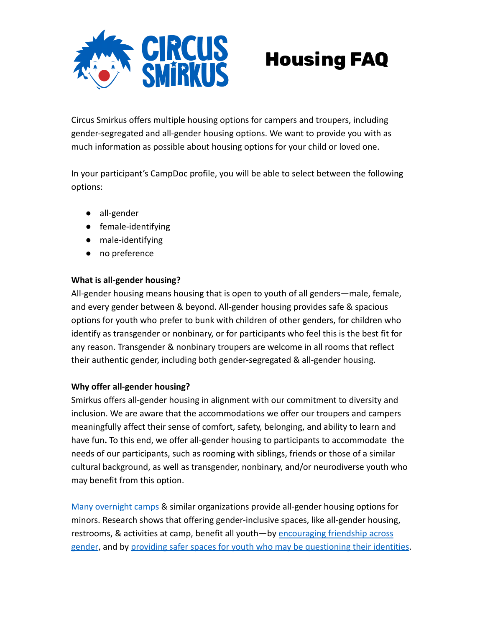

# **Housing FAQ**

Circus Smirkus offers multiple housing options for campers and troupers, including gender-segregated and all-gender housing options. We want to provide you with as much information as possible about housing options for your child or loved one.

In your participant's CampDoc profile, you will be able to select between the following options:

- all-gender
- female-identifying
- male-identifying
- no preference

## **What is all-gender housing?**

All-gender housing means housing that is open to youth of all genders—male, female, and every gender between & beyond. All-gender housing provides safe & spacious options for youth who prefer to bunk with children of other genders, for children who identify as transgender or nonbinary, or for participants who feel this is the best fit for any reason. Transgender & nonbinary troupers are welcome in all rooms that reflect their authentic gender, including both gender-segregated & all-gender housing.

## **Why offer all-gender housing?**

Smirkus offers all-gender housing in alignment with our commitment to diversity and inclusion. We are aware that the accommodations we offer our troupers and campers meaningfully affect their sense of comfort, safety, belonging, and ability to learn and have fun**.** To this end, we offer all-gender housing to participants to accommodate the needs of our participants, such as rooming with siblings, friends or those of a similar cultural background, as well as transgender, nonbinary, and/or neurodiverse youth who may benefit from this option.

[Many overnight camps](https://www.nytimes.com/2019/08/22/us/summer-camp-gender-transgender.html) & similar organizations provide all-gender housing options for minors. Research shows that offering gender-inclusive spaces, like all-gender housing, restrooms, & activities at camp, benefit all youth—by [encouraging friendship across](https://ijoc.org/index.php/ijoc/article/view/11443) [gender](https://ijoc.org/index.php/ijoc/article/view/11443), and by [providing safer spaces for youth who](https://journals.sagepub.com/doi/full/10.1177/1053825918820369?journalCode=jeea) may be questioning their identities.